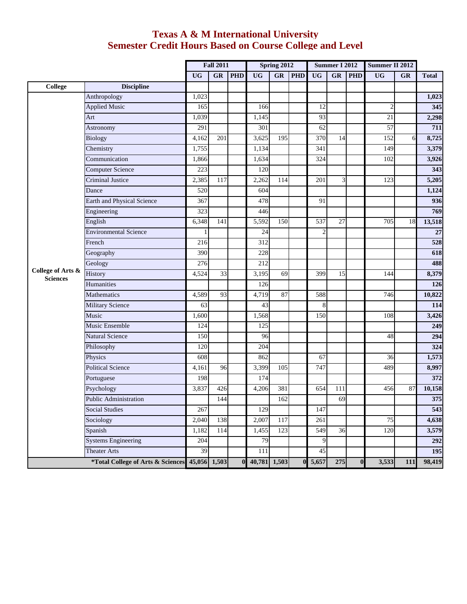## **Texas A & M International University Semester Credit Hours Based on Course College and Level**

|                                      |                                                | <b>Fall 2011</b> |                        | <b>Spring 2012</b> |              |                        | <b>Summer I 2012</b> |                |           | Summer II 2012 |                         |           |              |
|--------------------------------------|------------------------------------------------|------------------|------------------------|--------------------|--------------|------------------------|----------------------|----------------|-----------|----------------|-------------------------|-----------|--------------|
|                                      |                                                | <b>UG</b>        | $\overline{\text{GR}}$ | <b>PHD</b>         | <b>UG</b>    | $\overline{\text{GR}}$ | <b>PHD</b>           | <b>UG</b>      | <b>GR</b> | <b>PHD</b>     | $\overline{\text{UG}}$  | <b>GR</b> | <b>Total</b> |
| <b>College</b>                       | <b>Discipline</b>                              |                  |                        |                    |              |                        |                      |                |           |                |                         |           |              |
|                                      | Anthropology                                   | 1,023            |                        |                    |              |                        |                      |                |           |                |                         |           | 1,023        |
|                                      | <b>Applied Music</b>                           | 165              |                        |                    | 166          |                        |                      | 12             |           |                | $\overline{\mathbf{c}}$ |           | 345          |
|                                      | Art                                            | 1,039            |                        |                    | 1,145        |                        |                      | 93             |           |                | 21                      |           | 2,298        |
|                                      | Astronomy                                      | 291              |                        |                    | 301          |                        |                      | 62             |           |                | $\overline{57}$         |           | 711          |
|                                      | <b>Biology</b>                                 | 4,162            | 201                    |                    | 3,625        | 195                    |                      | 370            | 14        |                | 152                     | 6         | 8,725        |
|                                      | Chemistry                                      | 1,755            |                        |                    | 1,134        |                        |                      | 341            |           |                | 149                     |           | 3,379        |
|                                      | Communication                                  | 1,866            |                        |                    | 1,634        |                        |                      | 324            |           |                | 102                     |           | 3,926        |
|                                      | Computer Science                               | 223              |                        |                    | 120          |                        |                      |                |           |                |                         |           | 343          |
|                                      | Criminal Justice                               | 2,385            | 117                    |                    | 2,262        | 114                    |                      | 201            | 3         |                | 123                     |           | 5,205        |
|                                      | Dance                                          | 520              |                        |                    | 604          |                        |                      |                |           |                |                         |           | 1,124        |
|                                      | Earth and Physical Science                     | 367              |                        |                    | 478          |                        |                      | 91             |           |                |                         |           | 936          |
|                                      | Engineering                                    | 323              |                        |                    | 446          |                        |                      |                |           |                |                         |           | 769          |
| College of Arts &<br><b>Sciences</b> | English                                        | 6,348            | 141                    |                    | 5,592        | 150                    |                      | 537            | 27        |                | 705                     | 18        | 13,518       |
|                                      | <b>Environmental Science</b>                   |                  |                        |                    | 24           |                        |                      | $\overline{2}$ |           |                |                         |           | 27           |
|                                      | French                                         | 216              |                        |                    | 312          |                        |                      |                |           |                |                         |           | 528          |
|                                      | Geography                                      | 390              |                        |                    | 228          |                        |                      |                |           |                |                         |           | 618          |
|                                      | Geology                                        | 276              |                        |                    | 212          |                        |                      |                |           |                |                         |           | 488          |
|                                      | History                                        | 4,524            | 33                     |                    | 3,195        | 69                     |                      | 399            | 15        |                | 144                     |           | 8,379        |
|                                      | Humanities                                     |                  |                        |                    | 126          |                        |                      |                |           |                |                         |           | 126          |
|                                      | Mathematics                                    | 4,589            | 93                     |                    | 4,719        | 87                     |                      | 588            |           |                | 746                     |           | 10,822       |
|                                      | <b>Military Science</b>                        | 63               |                        |                    | 43           |                        |                      | 8              |           |                |                         |           | 114          |
|                                      | Music                                          | 1,600            |                        |                    | 1,568        |                        |                      | 150            |           |                | 108                     |           | 3,426        |
|                                      | Music Ensemble                                 | 124              |                        |                    | 125          |                        |                      |                |           |                |                         |           | 249          |
|                                      | <b>Natural Science</b>                         | 150              |                        |                    | 96           |                        |                      |                |           |                | 48                      |           | 294          |
|                                      | Philosophy                                     | 120              |                        |                    | 204          |                        |                      |                |           |                |                         |           | 324          |
|                                      | Physics                                        | 608              |                        |                    | 862          |                        |                      | 67             |           |                | 36                      |           | 1,573        |
|                                      | <b>Political Science</b>                       | 4,161            | 96                     |                    | 3,399        | 105                    |                      | 747            |           |                | 489                     |           | 8,997        |
|                                      | Portuguese                                     | 198              |                        |                    | 174          |                        |                      |                |           |                |                         |           | 372          |
|                                      | Psychology                                     | 3,837            | 426                    |                    | 4,206        | 381                    |                      | 654            | 111       |                | 456                     | 87        | 10,158       |
|                                      | <b>Public Administration</b>                   |                  | 144                    |                    |              | 162                    |                      |                | 69        |                |                         |           | 375          |
|                                      | <b>Social Studies</b>                          | 267              |                        |                    | 129          |                        |                      | 147            |           |                |                         |           | 543          |
|                                      | Sociology                                      | 2,040            | 138                    |                    | 2,007        | 117                    |                      | 261            |           |                | 75                      |           | 4,638        |
|                                      | Spanish                                        | 1,182            | 114                    |                    | 1,455        | 123                    |                      | 549            | 36        |                | 120                     |           | 3,579        |
|                                      | <b>Systems Engineering</b>                     | 204              |                        |                    | 79           |                        |                      | 9              |           |                |                         |           | 292          |
|                                      | <b>Theater Arts</b>                            | 39               |                        |                    | 111          |                        |                      | 45             |           |                |                         |           | 195          |
|                                      | *Total College of Arts & Sciences 45,056 1,503 |                  |                        | $\bf{0}$           | 40,781 1,503 |                        | $\bf{0}$             | 5,657          | 275       | $\bf{0}$       | 3,533                   | 111       | 98,419       |